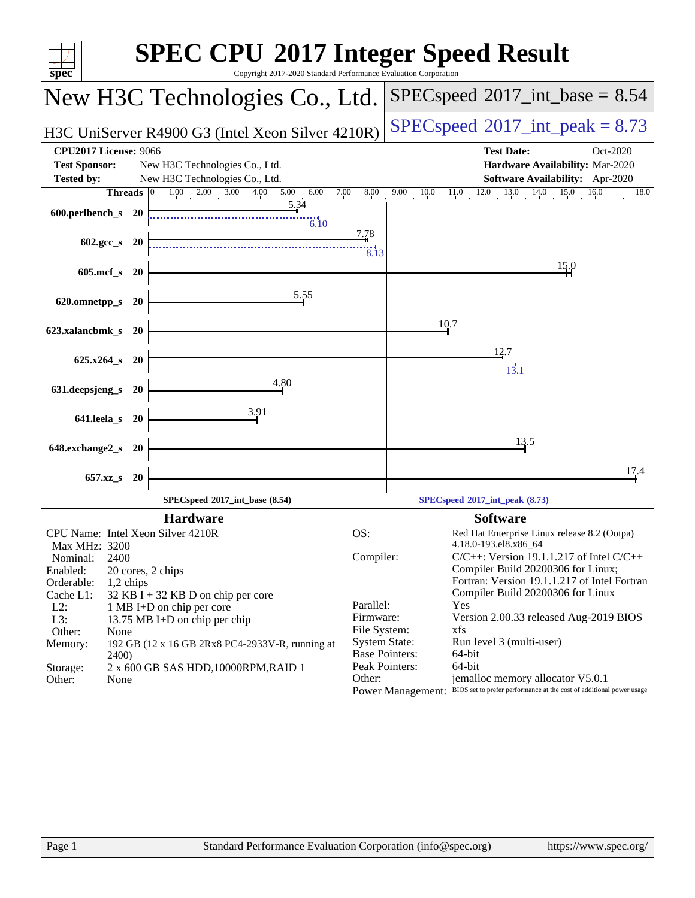| <b>SPEC CPU®2017 Integer Speed Result</b><br>Copyright 2017-2020 Standard Performance Evaluation Corporation<br>$spec^*$                                                                                                                                                                                                                                                                                                                                         |                                                                                                                                                                                                                                                                                                                                                                                                                                                                                                                                                                                                                                                       |  |  |  |  |  |
|------------------------------------------------------------------------------------------------------------------------------------------------------------------------------------------------------------------------------------------------------------------------------------------------------------------------------------------------------------------------------------------------------------------------------------------------------------------|-------------------------------------------------------------------------------------------------------------------------------------------------------------------------------------------------------------------------------------------------------------------------------------------------------------------------------------------------------------------------------------------------------------------------------------------------------------------------------------------------------------------------------------------------------------------------------------------------------------------------------------------------------|--|--|--|--|--|
| New H3C Technologies Co., Ltd.                                                                                                                                                                                                                                                                                                                                                                                                                                   | $SPEC speed^{\circ}2017\_int\_base = 8.54$                                                                                                                                                                                                                                                                                                                                                                                                                                                                                                                                                                                                            |  |  |  |  |  |
| H3C UniServer R4900 G3 (Intel Xeon Silver 4210R)                                                                                                                                                                                                                                                                                                                                                                                                                 | $SPEC speed^{\circ}2017\_int\_peak = 8.73$                                                                                                                                                                                                                                                                                                                                                                                                                                                                                                                                                                                                            |  |  |  |  |  |
| <b>CPU2017 License: 9066</b><br><b>Test Sponsor:</b><br>New H3C Technologies Co., Ltd.<br><b>Tested by:</b><br>New H3C Technologies Co., Ltd.<br><b>Threads</b> $\vert 0 \vert$<br>$1.00$ $2.00$ $3.00$ $4.00$ $5.00$ $6.00$                                                                                                                                                                                                                                     | <b>Test Date:</b><br>Oct-2020<br>Hardware Availability: Mar-2020<br>Software Availability: Apr-2020<br>$7.00$ 8.00<br>$9.00$ $10.0$ $11.0$ $12.0$ $13.0$ $14.0$ $15.0$ $16.0$<br>18.0                                                                                                                                                                                                                                                                                                                                                                                                                                                                 |  |  |  |  |  |
| 5.34<br>600.perlbench_s 20<br>6.10                                                                                                                                                                                                                                                                                                                                                                                                                               | <u>7.7</u> 8                                                                                                                                                                                                                                                                                                                                                                                                                                                                                                                                                                                                                                          |  |  |  |  |  |
| $602.\text{gcc}\,s$ 20<br>605.mcf_s 20                                                                                                                                                                                                                                                                                                                                                                                                                           | 8.13<br>15.0                                                                                                                                                                                                                                                                                                                                                                                                                                                                                                                                                                                                                                          |  |  |  |  |  |
| 5.55<br>620.omnetpp_s 20                                                                                                                                                                                                                                                                                                                                                                                                                                         |                                                                                                                                                                                                                                                                                                                                                                                                                                                                                                                                                                                                                                                       |  |  |  |  |  |
| 623.xalancbmk_s 20                                                                                                                                                                                                                                                                                                                                                                                                                                               | 10.7                                                                                                                                                                                                                                                                                                                                                                                                                                                                                                                                                                                                                                                  |  |  |  |  |  |
| $625.x264$ s 20<br>4.80<br>631.deepsjeng_s 20                                                                                                                                                                                                                                                                                                                                                                                                                    | 12.7<br>$\overline{13.1}$                                                                                                                                                                                                                                                                                                                                                                                                                                                                                                                                                                                                                             |  |  |  |  |  |
| 3.91<br>641.leela_s 20                                                                                                                                                                                                                                                                                                                                                                                                                                           |                                                                                                                                                                                                                                                                                                                                                                                                                                                                                                                                                                                                                                                       |  |  |  |  |  |
| 648.exchange2_s 20                                                                                                                                                                                                                                                                                                                                                                                                                                               | 13.5                                                                                                                                                                                                                                                                                                                                                                                                                                                                                                                                                                                                                                                  |  |  |  |  |  |
| 657.xz_s 20<br>SPECspeed®2017_int_base (8.54)                                                                                                                                                                                                                                                                                                                                                                                                                    | 17.4<br>SPECspeed®2017_int_peak (8.73)                                                                                                                                                                                                                                                                                                                                                                                                                                                                                                                                                                                                                |  |  |  |  |  |
| <b>Hardware</b><br>CPU Name: Intel Xeon Silver 4210R<br>Max MHz: 3200<br>2400<br>Nominal:<br>Enabled:<br>20 cores, 2 chips<br>Orderable:<br>1,2 chips<br>Cache L1:<br>$32$ KB I + 32 KB D on chip per core<br>$L2$ :<br>1 MB I+D on chip per core<br>L3:<br>13.75 MB I+D on chip per chip<br>Other:<br>None<br>192 GB (12 x 16 GB 2Rx8 PC4-2933V-R, running at<br>Memory:<br><b>2400</b> )<br>2 x 600 GB SAS HDD, 10000RPM, RAID 1<br>Storage:<br>Other:<br>None | <b>Software</b><br>OS:<br>Red Hat Enterprise Linux release 8.2 (Ootpa)<br>4.18.0-193.el8.x86_64<br>Compiler:<br>$C/C++$ : Version 19.1.1.217 of Intel $C/C++$<br>Compiler Build 20200306 for Linux;<br>Fortran: Version 19.1.1.217 of Intel Fortran<br>Compiler Build 20200306 for Linux<br>Parallel:<br>Yes<br>Firmware:<br>Version 2.00.33 released Aug-2019 BIOS<br>File System:<br>xfs<br><b>System State:</b><br>Run level 3 (multi-user)<br><b>Base Pointers:</b><br>64-bit<br>Peak Pointers:<br>64-bit<br>jemalloc memory allocator V5.0.1<br>Other:<br>Power Management: BIOS set to prefer performance at the cost of additional power usage |  |  |  |  |  |
|                                                                                                                                                                                                                                                                                                                                                                                                                                                                  |                                                                                                                                                                                                                                                                                                                                                                                                                                                                                                                                                                                                                                                       |  |  |  |  |  |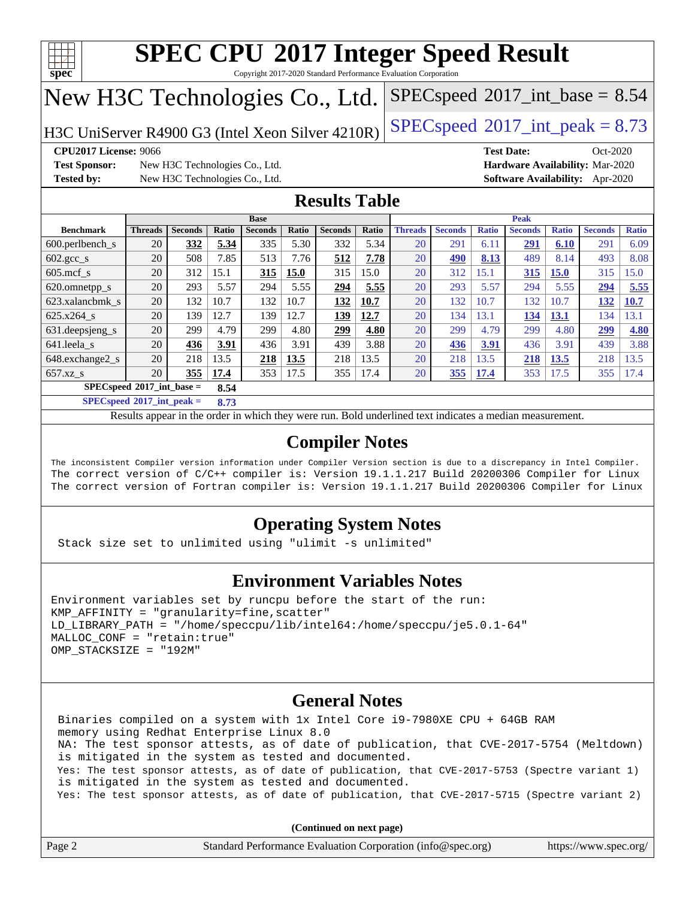

Copyright 2017-2020 Standard Performance Evaluation Corporation

# New H3C Technologies Co., Ltd.

H3C UniServer R4900 G3 (Intel Xeon Silver  $4210R$ ) [SPECspeed](http://www.spec.org/auto/cpu2017/Docs/result-fields.html#SPECspeed2017intpeak)®[2017\\_int\\_peak = 8](http://www.spec.org/auto/cpu2017/Docs/result-fields.html#SPECspeed2017intpeak).73

 $SPECspeed^{\circ}2017\_int\_base = 8.54$  $SPECspeed^{\circ}2017\_int\_base = 8.54$ 

**[Test Sponsor:](http://www.spec.org/auto/cpu2017/Docs/result-fields.html#TestSponsor)** New H3C Technologies Co., Ltd. **[Hardware Availability:](http://www.spec.org/auto/cpu2017/Docs/result-fields.html#HardwareAvailability)** Mar-2020 **[Tested by:](http://www.spec.org/auto/cpu2017/Docs/result-fields.html#Testedby)** New H3C Technologies Co., Ltd. **[Software Availability:](http://www.spec.org/auto/cpu2017/Docs/result-fields.html#SoftwareAvailability)** Apr-2020

**[CPU2017 License:](http://www.spec.org/auto/cpu2017/Docs/result-fields.html#CPU2017License)** 9066 **[Test Date:](http://www.spec.org/auto/cpu2017/Docs/result-fields.html#TestDate)** Oct-2020

### **[Results Table](http://www.spec.org/auto/cpu2017/Docs/result-fields.html#ResultsTable)**

|                                            | <b>Base</b>    |                |       |                |       | <b>Peak</b>    |       |                |                |              |                |              |                |              |
|--------------------------------------------|----------------|----------------|-------|----------------|-------|----------------|-------|----------------|----------------|--------------|----------------|--------------|----------------|--------------|
| <b>Benchmark</b>                           | <b>Threads</b> | <b>Seconds</b> | Ratio | <b>Seconds</b> | Ratio | <b>Seconds</b> | Ratio | <b>Threads</b> | <b>Seconds</b> | <b>Ratio</b> | <b>Seconds</b> | <b>Ratio</b> | <b>Seconds</b> | <b>Ratio</b> |
| 600.perlbench_s                            | 20             | 332            | 5.34  | 335            | 5.30  | 332            | 5.34  | 20             | 291            | 6.11         | <u>291</u>     | 6.10         | 291            | 6.09         |
| 602.gcc_s                                  | 20             | 508            | 7.85  | 513            | 7.76  | 512            | 7.78  | 20             | 490            | 8.13         | 489            | 8.14         | 493            | 8.08         |
| $605$ .mcf s                               | 20             | 312            | 15.1  | 315            | 15.0  | 315            | 15.0  | 20             | 312            | 15.1         | 315            | <b>15.0</b>  | 315            | 15.0         |
| 620.omnetpp_s                              | 20             | 293            | 5.57  | 294            | 5.55  | 294            | 5.55  | 20             | 293            | 5.57         | 294            | 5.55         | 294            | 5.55         |
| 623.xalancbmk s                            | 20             | 132            | 10.7  | 132            | 10.7  | 132            | 10.7  | 20             | 132            | 10.7         | 132            | 10.7         | 132            | <b>10.7</b>  |
| 625.x264 s                                 | 20             | 139            | 12.7  | 139            | 12.7  | 139            | 12.7  | 20             | 134            | 13.1         | 134            | 13.1         | 134            | 13.1         |
| 631.deepsjeng_s                            | 20             | 299            | 4.79  | 299            | 4.80  | 299            | 4.80  | 20             | 299            | 4.79         | 299            | 4.80         | 299            | 4.80         |
| 641.leela_s                                | 20             | 436            | 3.91  | 436            | 3.91  | 439            | 3.88  | 20             | 436            | 3.91         | 436            | 3.91         | 439            | 3.88         |
| 648.exchange2_s                            | 20             | 218            | 13.5  | 218            | 13.5  | 218            | 13.5  | 20             | 218            | 13.5         | 218            | 13.5         | 218            | 13.5         |
| $657.xz$ <sub>S</sub>                      | 20             | 355            | 17.4  | 353            | 17.5  | 355            | 17.4  | 20             | 355            | 17.4         | 353            | 17.5         | 355            | 17.4         |
| $SPECspeed^{\circ}2017$ int base =<br>8.54 |                |                |       |                |       |                |       |                |                |              |                |              |                |              |

**[SPECspeed](http://www.spec.org/auto/cpu2017/Docs/result-fields.html#SPECspeed2017intpeak)[2017\\_int\\_peak =](http://www.spec.org/auto/cpu2017/Docs/result-fields.html#SPECspeed2017intpeak) 8.73**

Results appear in the [order in which they were run.](http://www.spec.org/auto/cpu2017/Docs/result-fields.html#RunOrder) Bold underlined text [indicates a median measurement](http://www.spec.org/auto/cpu2017/Docs/result-fields.html#Median).

### **[Compiler Notes](http://www.spec.org/auto/cpu2017/Docs/result-fields.html#CompilerNotes)**

The inconsistent Compiler version information under Compiler Version section is due to a discrepancy in Intel Compiler. The correct version of C/C++ compiler is: Version 19.1.1.217 Build 20200306 Compiler for Linux The correct version of Fortran compiler is: Version 19.1.1.217 Build 20200306 Compiler for Linux

### **[Operating System Notes](http://www.spec.org/auto/cpu2017/Docs/result-fields.html#OperatingSystemNotes)**

Stack size set to unlimited using "ulimit -s unlimited"

### **[Environment Variables Notes](http://www.spec.org/auto/cpu2017/Docs/result-fields.html#EnvironmentVariablesNotes)**

```
Environment variables set by runcpu before the start of the run:
KMP AFFINITY = "granularity=fine, scatter"
LD_LIBRARY_PATH = "/home/speccpu/lib/intel64:/home/speccpu/je5.0.1-64"
MALLOC_CONF = "retain:true"
OMP_STACKSIZE = "192M"
```
### **[General Notes](http://www.spec.org/auto/cpu2017/Docs/result-fields.html#GeneralNotes)**

 Binaries compiled on a system with 1x Intel Core i9-7980XE CPU + 64GB RAM memory using Redhat Enterprise Linux 8.0 NA: The test sponsor attests, as of date of publication, that CVE-2017-5754 (Meltdown) is mitigated in the system as tested and documented. Yes: The test sponsor attests, as of date of publication, that CVE-2017-5753 (Spectre variant 1) is mitigated in the system as tested and documented. Yes: The test sponsor attests, as of date of publication, that CVE-2017-5715 (Spectre variant 2)

**(Continued on next page)**

|        | .                                                           |                       |
|--------|-------------------------------------------------------------|-----------------------|
| Page 2 | Standard Performance Evaluation Corporation (info@spec.org) | https://www.spec.org/ |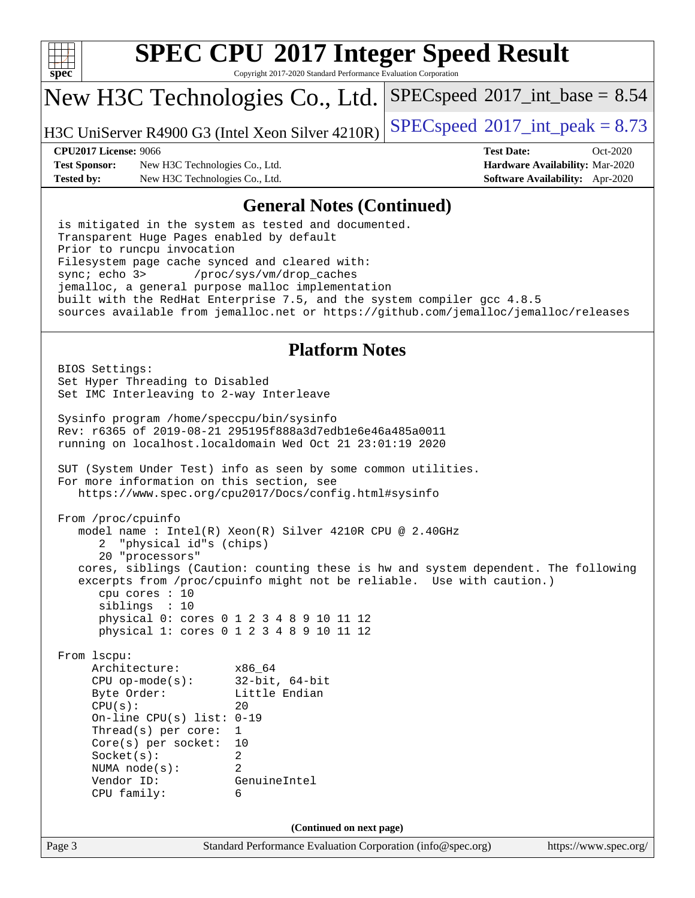

Copyright 2017-2020 Standard Performance Evaluation Corporation

## New H3C Technologies Co., Ltd.

H3C UniServer R4900 G3 (Intel Xeon Silver  $4210R$ ) [SPECspeed](http://www.spec.org/auto/cpu2017/Docs/result-fields.html#SPECspeed2017intpeak)®[2017\\_int\\_peak = 8](http://www.spec.org/auto/cpu2017/Docs/result-fields.html#SPECspeed2017intpeak).73

 $SPECspeed^{\circ}2017\_int\_base = 8.54$  $SPECspeed^{\circ}2017\_int\_base = 8.54$ 

**[Test Sponsor:](http://www.spec.org/auto/cpu2017/Docs/result-fields.html#TestSponsor)** New H3C Technologies Co., Ltd. **[Hardware Availability:](http://www.spec.org/auto/cpu2017/Docs/result-fields.html#HardwareAvailability)** Mar-2020 **[Tested by:](http://www.spec.org/auto/cpu2017/Docs/result-fields.html#Testedby)** New H3C Technologies Co., Ltd. **[Software Availability:](http://www.spec.org/auto/cpu2017/Docs/result-fields.html#SoftwareAvailability)** Apr-2020

**[CPU2017 License:](http://www.spec.org/auto/cpu2017/Docs/result-fields.html#CPU2017License)** 9066 **[Test Date:](http://www.spec.org/auto/cpu2017/Docs/result-fields.html#TestDate)** Oct-2020

### **[General Notes \(Continued\)](http://www.spec.org/auto/cpu2017/Docs/result-fields.html#GeneralNotes)**

 is mitigated in the system as tested and documented. Transparent Huge Pages enabled by default Prior to runcpu invocation Filesystem page cache synced and cleared with: sync; echo 3> /proc/sys/vm/drop\_caches jemalloc, a general purpose malloc implementation built with the RedHat Enterprise 7.5, and the system compiler gcc 4.8.5 sources available from jemalloc.net or <https://github.com/jemalloc/jemalloc/releases>

### **[Platform Notes](http://www.spec.org/auto/cpu2017/Docs/result-fields.html#PlatformNotes)**

 BIOS Settings: Set Hyper Threading to Disabled Set IMC Interleaving to 2-way Interleave Sysinfo program /home/speccpu/bin/sysinfo Rev: r6365 of 2019-08-21 295195f888a3d7edb1e6e46a485a0011 running on localhost.localdomain Wed Oct 21 23:01:19 2020 SUT (System Under Test) info as seen by some common utilities. For more information on this section, see <https://www.spec.org/cpu2017/Docs/config.html#sysinfo> From /proc/cpuinfo model name : Intel(R) Xeon(R) Silver 4210R CPU @ 2.40GHz 2 "physical id"s (chips) 20 "processors" cores, siblings (Caution: counting these is hw and system dependent. The following excerpts from /proc/cpuinfo might not be reliable. Use with caution.) cpu cores : 10 siblings : 10 physical 0: cores 0 1 2 3 4 8 9 10 11 12 physical 1: cores 0 1 2 3 4 8 9 10 11 12 From lscpu: Architecture: x86\_64 CPU op-mode(s): 32-bit, 64-bit Byte Order: Little Endian  $CPU(s):$  20 On-line CPU(s) list: 0-19 Thread(s) per core: 1 Core(s) per socket: 10 Socket(s): 2 NUMA node(s): 2 Vendor ID: GenuineIntel CPU family: 6 **(Continued on next page)**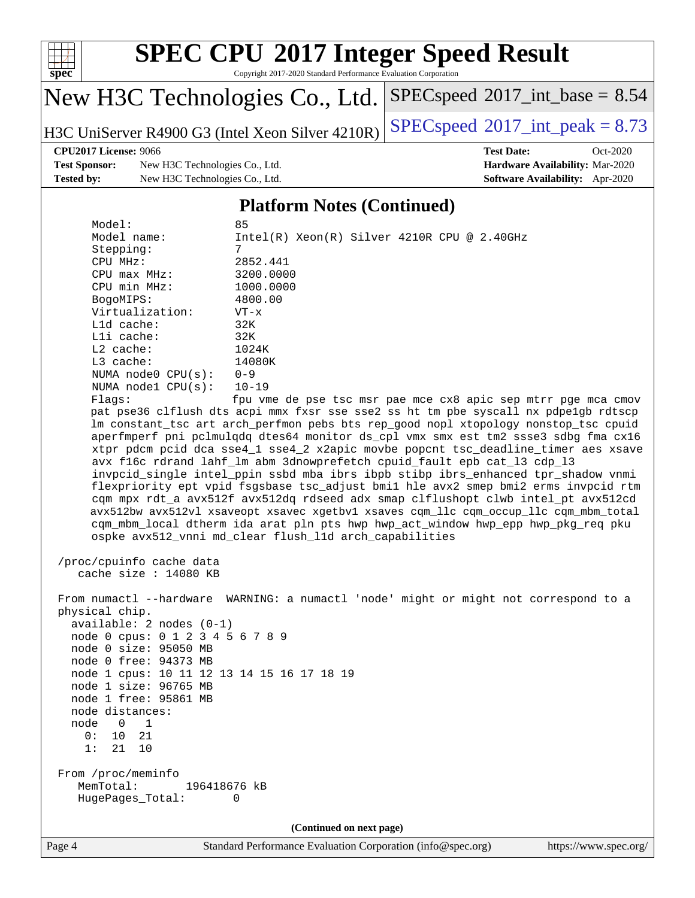

Copyright 2017-2020 Standard Performance Evaluation Corporation

# New H3C Technologies Co., Ltd.

H3C UniServer R4900 G3 (Intel Xeon Silver  $4210R$ ) [SPECspeed](http://www.spec.org/auto/cpu2017/Docs/result-fields.html#SPECspeed2017intpeak)<sup>®</sup>[2017\\_int\\_peak = 8](http://www.spec.org/auto/cpu2017/Docs/result-fields.html#SPECspeed2017intpeak).73

 $SPECspeed*2017\_int\_base = 8.54$  $SPECspeed*2017\_int\_base = 8.54$ 

**[Test Sponsor:](http://www.spec.org/auto/cpu2017/Docs/result-fields.html#TestSponsor)** New H3C Technologies Co., Ltd. **[Hardware Availability:](http://www.spec.org/auto/cpu2017/Docs/result-fields.html#HardwareAvailability)** Mar-2020 **[Tested by:](http://www.spec.org/auto/cpu2017/Docs/result-fields.html#Testedby)** New H3C Technologies Co., Ltd. **[Software Availability:](http://www.spec.org/auto/cpu2017/Docs/result-fields.html#SoftwareAvailability)** Apr-2020

**[CPU2017 License:](http://www.spec.org/auto/cpu2017/Docs/result-fields.html#CPU2017License)** 9066 **[Test Date:](http://www.spec.org/auto/cpu2017/Docs/result-fields.html#TestDate)** Oct-2020

### **[Platform Notes \(Continued\)](http://www.spec.org/auto/cpu2017/Docs/result-fields.html#PlatformNotes)**

| Model:                                     | 85                                                                                   |
|--------------------------------------------|--------------------------------------------------------------------------------------|
| Model name:                                | $Intel(R) Xeon(R) Silver 4210R CPU @ 2.40GHz$                                        |
| Stepping:                                  | 7                                                                                    |
| CPU MHz:                                   | 2852.441                                                                             |
| CPU max MHz:                               | 3200.0000                                                                            |
| CPU min MHz:                               | 1000.0000                                                                            |
| BogoMIPS:                                  | 4800.00                                                                              |
| Virtualization:                            | $VT - x$                                                                             |
| $L1d$ cache:                               | 32K                                                                                  |
| Lli cache:                                 | 32K                                                                                  |
| $L2$ cache:                                | 1024K                                                                                |
| L3 cache:                                  | 14080K                                                                               |
| NUMA node0 CPU(s):                         | $0 - 9$                                                                              |
| NUMA nodel $CPU(s):$                       | $10 - 19$                                                                            |
| Flagg:                                     | fpu vme de pse tsc msr pae mce cx8 apic sep mtrr pge mca cmov                        |
|                                            | pat pse36 clflush dts acpi mmx fxsr sse sse2 ss ht tm pbe syscall nx pdpelgb rdtscp  |
|                                            | lm constant_tsc art arch_perfmon pebs bts rep_good nopl xtopology nonstop_tsc cpuid  |
|                                            | aperfmperf pni pclmulqdq dtes64 monitor ds_cpl vmx smx est tm2 ssse3 sdbg fma cx16   |
|                                            | xtpr pdcm pcid dca sse4_1 sse4_2 x2apic movbe popcnt tsc_deadline_timer aes xsave    |
|                                            | avx f16c rdrand lahf_lm abm 3dnowprefetch cpuid_fault epb cat_13 cdp_13              |
|                                            | invpcid_single intel_ppin ssbd mba ibrs ibpb stibp ibrs_enhanced tpr_shadow vnmi     |
|                                            | flexpriority ept vpid fsgsbase tsc_adjust bmil hle avx2 smep bmi2 erms invpcid rtm   |
|                                            | cqm mpx rdt_a avx512f avx512dq rdseed adx smap clflushopt clwb intel_pt avx512cd     |
|                                            | avx512bw avx512vl xsaveopt xsavec xgetbvl xsaves cqm_llc cqm_occup_llc cqm_mbm_total |
|                                            | cqm_mbm_local dtherm ida arat pln pts hwp hwp_act_window hwp_epp hwp_pkg_req pku     |
|                                            | ospke avx512_vnni md_clear flush_l1d arch_capabilities                               |
|                                            |                                                                                      |
| /proc/cpuinfo cache data                   |                                                                                      |
| cache size $: 14080$ KB                    |                                                                                      |
|                                            | From numactl --hardware WARNING: a numactl 'node' might or might not correspond to a |
| physical chip.                             |                                                                                      |
| $available: 2 nodes (0-1)$                 |                                                                                      |
| node 0 cpus: 0 1 2 3 4 5 6 7 8 9           |                                                                                      |
| node 0 size: 95050 MB                      |                                                                                      |
| node 0 free: 94373 MB                      |                                                                                      |
| node 1 cpus: 10 11 12 13 14 15 16 17 18 19 |                                                                                      |
| node 1 size: 96765 MB                      |                                                                                      |
| node 1 free: 95861 MB                      |                                                                                      |
| node distances:                            |                                                                                      |
| node 0 1                                   |                                                                                      |
| 0:<br>10<br>21                             |                                                                                      |
| 1:<br>21<br>10                             |                                                                                      |
|                                            |                                                                                      |
| From /proc/meminfo                         |                                                                                      |
| MemTotal:<br>196418676 kB                  |                                                                                      |
| HugePages_Total:                           | 0                                                                                    |
|                                            |                                                                                      |
|                                            | (Continued on next page)                                                             |
|                                            |                                                                                      |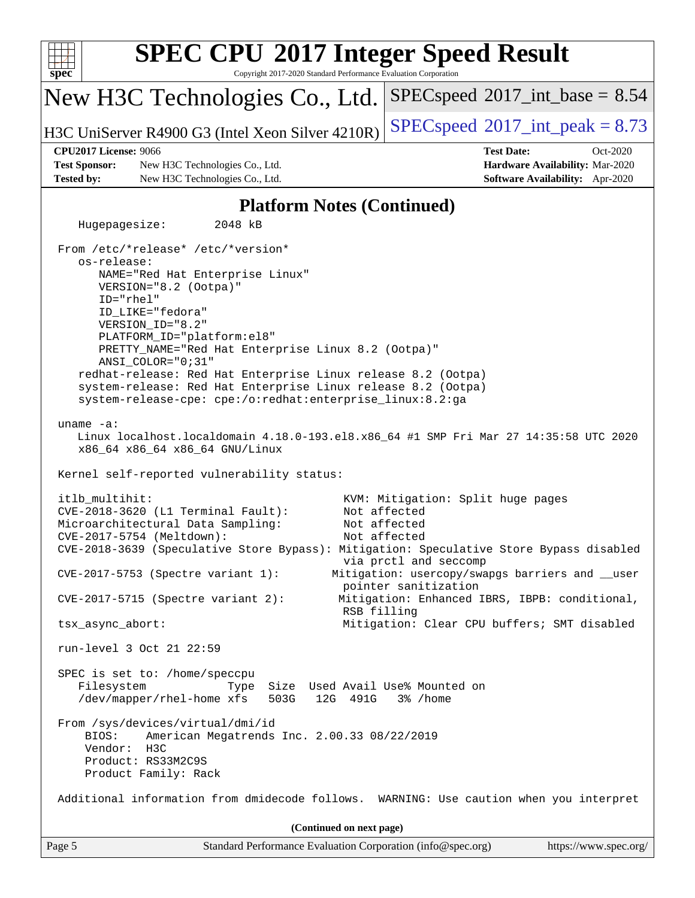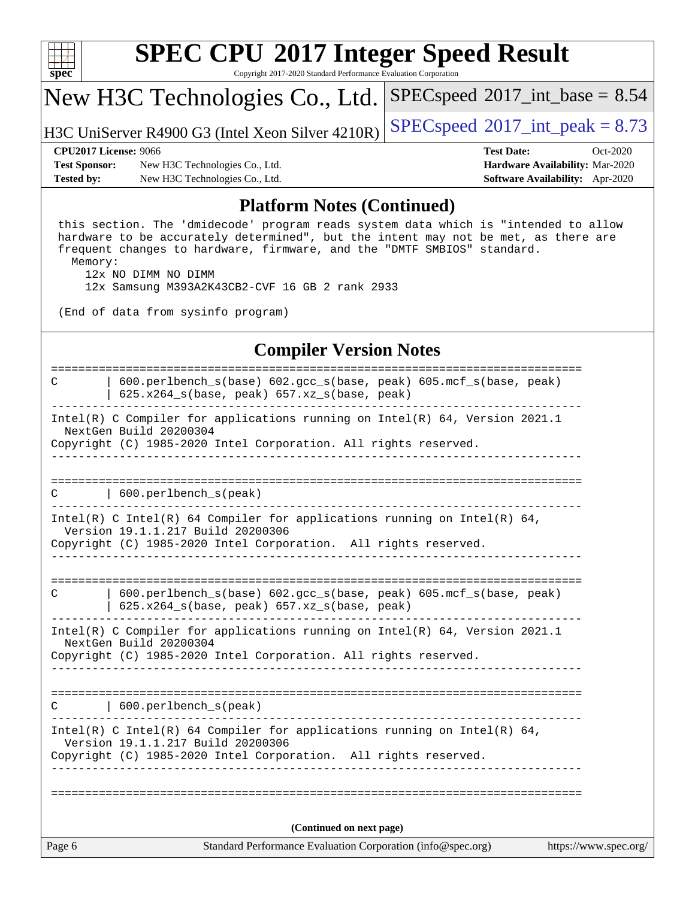

Copyright 2017-2020 Standard Performance Evaluation Corporation

## New H3C Technologies Co., Ltd.

H3C UniServer R4900 G3 (Intel Xeon Silver  $4210R$ ) [SPECspeed](http://www.spec.org/auto/cpu2017/Docs/result-fields.html#SPECspeed2017intpeak)®[2017\\_int\\_peak = 8](http://www.spec.org/auto/cpu2017/Docs/result-fields.html#SPECspeed2017intpeak).73

 $SPECspeed^{\circledcirc}2017\_int\_base = 8.54$  $SPECspeed^{\circledcirc}2017\_int\_base = 8.54$ 

**[Test Sponsor:](http://www.spec.org/auto/cpu2017/Docs/result-fields.html#TestSponsor)** New H3C Technologies Co., Ltd. **[Hardware Availability:](http://www.spec.org/auto/cpu2017/Docs/result-fields.html#HardwareAvailability)** Mar-2020 **[Tested by:](http://www.spec.org/auto/cpu2017/Docs/result-fields.html#Testedby)** New H3C Technologies Co., Ltd. **[Software Availability:](http://www.spec.org/auto/cpu2017/Docs/result-fields.html#SoftwareAvailability)** Apr-2020

**[CPU2017 License:](http://www.spec.org/auto/cpu2017/Docs/result-fields.html#CPU2017License)** 9066 **[Test Date:](http://www.spec.org/auto/cpu2017/Docs/result-fields.html#TestDate)** Oct-2020

### **[Platform Notes \(Continued\)](http://www.spec.org/auto/cpu2017/Docs/result-fields.html#PlatformNotes)**

 this section. The 'dmidecode' program reads system data which is "intended to allow hardware to be accurately determined", but the intent may not be met, as there are frequent changes to hardware, firmware, and the "DMTF SMBIOS" standard. Memory:

 12x NO DIMM NO DIMM 12x Samsung M393A2K43CB2-CVF 16 GB 2 rank 2933

(End of data from sysinfo program)

### **[Compiler Version Notes](http://www.spec.org/auto/cpu2017/Docs/result-fields.html#CompilerVersionNotes)**

| Page 6 | Standard Performance Evaluation Corporation (info@spec.org)                                                                                                                 | https://www.spec.org/ |
|--------|-----------------------------------------------------------------------------------------------------------------------------------------------------------------------------|-----------------------|
|        | (Continued on next page)                                                                                                                                                    |                       |
|        |                                                                                                                                                                             |                       |
|        | Version 19.1.1.217 Build 20200306<br>Copyright (C) 1985-2020 Intel Corporation. All rights reserved.                                                                        |                       |
|        | Intel(R) C Intel(R) 64 Compiler for applications running on Intel(R) 64,                                                                                                    |                       |
| C      | 600.perlbench_s(peak)                                                                                                                                                       |                       |
|        | Intel(R) C Compiler for applications running on Intel(R) $64$ , Version 2021.1<br>NextGen Build 20200304<br>Copyright (C) 1985-2020 Intel Corporation. All rights reserved. |                       |
| C      | 600.perlbench_s(base) 602.gcc_s(base, peak) 605.mcf_s(base, peak)<br>$625.x264_s(base, peak)$ $657.xz_s(base, peak)$                                                        |                       |
|        |                                                                                                                                                                             |                       |
|        | Version 19.1.1.217 Build 20200306<br>Copyright (C) 1985-2020 Intel Corporation. All rights reserved.<br>___________________                                                 |                       |
|        | Intel(R) C Intel(R) 64 Compiler for applications running on Intel(R) 64,                                                                                                    |                       |
| C      | $\vert$ 600.perlbench_s(peak)                                                                                                                                               |                       |
|        | Intel(R) C Compiler for applications running on Intel(R) $64$ , Version 2021.1<br>NextGen Build 20200304<br>Copyright (C) 1985-2020 Intel Corporation. All rights reserved. |                       |
|        | 625.x264_s(base, peak) 657.xz_s(base, peak)                                                                                                                                 |                       |
| C      | 600.perlbench_s(base) 602.gcc_s(base, peak) 605.mcf_s(base, peak)                                                                                                           |                       |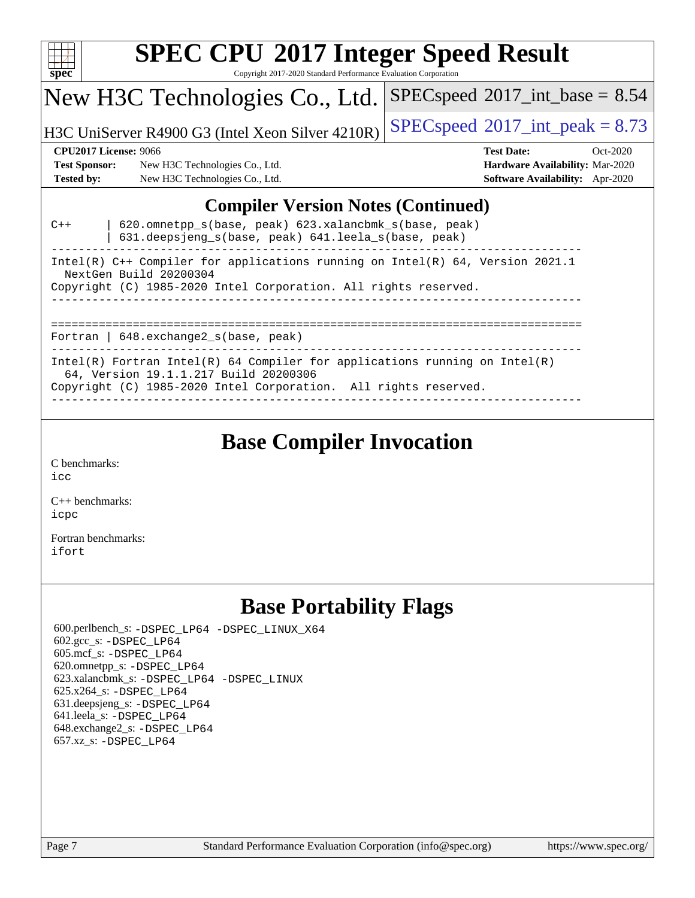

Copyright 2017-2020 Standard Performance Evaluation Corporation

## New H3C Technologies Co., Ltd.

H3C UniServer R4900 G3 (Intel Xeon Silver  $4210R$ ) [SPECspeed](http://www.spec.org/auto/cpu2017/Docs/result-fields.html#SPECspeed2017intpeak)®[2017\\_int\\_peak = 8](http://www.spec.org/auto/cpu2017/Docs/result-fields.html#SPECspeed2017intpeak).73

**[Hardware Availability:](http://www.spec.org/auto/cpu2017/Docs/result-fields.html#HardwareAvailability)** Mar-2020 **[Software Availability:](http://www.spec.org/auto/cpu2017/Docs/result-fields.html#SoftwareAvailability)** Apr-2020

 $SPECspeed^{\circledcirc}2017\_int\_base = 8.54$  $SPECspeed^{\circledcirc}2017\_int\_base = 8.54$ 

#### **[CPU2017 License:](http://www.spec.org/auto/cpu2017/Docs/result-fields.html#CPU2017License)** 9066 **[Test Date:](http://www.spec.org/auto/cpu2017/Docs/result-fields.html#TestDate)** Oct-2020

| <b>Test Sponsor:</b> | New H3C Technologies Co., Ltd. |
|----------------------|--------------------------------|
| <b>Tested by:</b>    | New H3C Technologies Co., Ltd. |

### **[Compiler Version Notes \(Continued\)](http://www.spec.org/auto/cpu2017/Docs/result-fields.html#CompilerVersionNotes)**

| $C++$ | 620.omnetpp_s(base, peak) 623.xalancbmk_s(base, peak)<br>631.deepsjeng_s(base, peak) 641.leela_s(base, peak)        |
|-------|---------------------------------------------------------------------------------------------------------------------|
|       | Intel(R) C++ Compiler for applications running on Intel(R) $64$ , Version 2021.1<br>NextGen Build 20200304          |
|       | Copyright (C) 1985-2020 Intel Corporation. All rights reserved.                                                     |
|       | Fortran   $648$ . exchange2 $s$ (base, peak)                                                                        |
|       | Intel(R) Fortran Intel(R) 64 Compiler for applications running on Intel(R)<br>64, Version 19.1.1.217 Build 20200306 |
|       | Copyright (C) 1985-2020 Intel Corporation. All rights reserved.                                                     |

------------------------------------------------------------------------------

### **[Base Compiler Invocation](http://www.spec.org/auto/cpu2017/Docs/result-fields.html#BaseCompilerInvocation)**

[C benchmarks](http://www.spec.org/auto/cpu2017/Docs/result-fields.html#Cbenchmarks): [icc](http://www.spec.org/cpu2017/results/res2020q4/cpu2017-20201027-24320.flags.html#user_CCbase_intel_icc_66fc1ee009f7361af1fbd72ca7dcefbb700085f36577c54f309893dd4ec40d12360134090235512931783d35fd58c0460139e722d5067c5574d8eaf2b3e37e92)

[C++ benchmarks:](http://www.spec.org/auto/cpu2017/Docs/result-fields.html#CXXbenchmarks) [icpc](http://www.spec.org/cpu2017/results/res2020q4/cpu2017-20201027-24320.flags.html#user_CXXbase_intel_icpc_c510b6838c7f56d33e37e94d029a35b4a7bccf4766a728ee175e80a419847e808290a9b78be685c44ab727ea267ec2f070ec5dc83b407c0218cded6866a35d07)

[Fortran benchmarks](http://www.spec.org/auto/cpu2017/Docs/result-fields.html#Fortranbenchmarks): [ifort](http://www.spec.org/cpu2017/results/res2020q4/cpu2017-20201027-24320.flags.html#user_FCbase_intel_ifort_8111460550e3ca792625aed983ce982f94888b8b503583aa7ba2b8303487b4d8a21a13e7191a45c5fd58ff318f48f9492884d4413fa793fd88dd292cad7027ca)

### **[Base Portability Flags](http://www.spec.org/auto/cpu2017/Docs/result-fields.html#BasePortabilityFlags)**

 600.perlbench\_s: [-DSPEC\\_LP64](http://www.spec.org/cpu2017/results/res2020q4/cpu2017-20201027-24320.flags.html#b600.perlbench_s_basePORTABILITY_DSPEC_LP64) [-DSPEC\\_LINUX\\_X64](http://www.spec.org/cpu2017/results/res2020q4/cpu2017-20201027-24320.flags.html#b600.perlbench_s_baseCPORTABILITY_DSPEC_LINUX_X64) 602.gcc\_s: [-DSPEC\\_LP64](http://www.spec.org/cpu2017/results/res2020q4/cpu2017-20201027-24320.flags.html#suite_basePORTABILITY602_gcc_s_DSPEC_LP64) 605.mcf\_s: [-DSPEC\\_LP64](http://www.spec.org/cpu2017/results/res2020q4/cpu2017-20201027-24320.flags.html#suite_basePORTABILITY605_mcf_s_DSPEC_LP64) 620.omnetpp\_s: [-DSPEC\\_LP64](http://www.spec.org/cpu2017/results/res2020q4/cpu2017-20201027-24320.flags.html#suite_basePORTABILITY620_omnetpp_s_DSPEC_LP64) 623.xalancbmk\_s: [-DSPEC\\_LP64](http://www.spec.org/cpu2017/results/res2020q4/cpu2017-20201027-24320.flags.html#suite_basePORTABILITY623_xalancbmk_s_DSPEC_LP64) [-DSPEC\\_LINUX](http://www.spec.org/cpu2017/results/res2020q4/cpu2017-20201027-24320.flags.html#b623.xalancbmk_s_baseCXXPORTABILITY_DSPEC_LINUX) 625.x264\_s: [-DSPEC\\_LP64](http://www.spec.org/cpu2017/results/res2020q4/cpu2017-20201027-24320.flags.html#suite_basePORTABILITY625_x264_s_DSPEC_LP64) 631.deepsjeng\_s: [-DSPEC\\_LP64](http://www.spec.org/cpu2017/results/res2020q4/cpu2017-20201027-24320.flags.html#suite_basePORTABILITY631_deepsjeng_s_DSPEC_LP64) 641.leela\_s: [-DSPEC\\_LP64](http://www.spec.org/cpu2017/results/res2020q4/cpu2017-20201027-24320.flags.html#suite_basePORTABILITY641_leela_s_DSPEC_LP64) 648.exchange2\_s: [-DSPEC\\_LP64](http://www.spec.org/cpu2017/results/res2020q4/cpu2017-20201027-24320.flags.html#suite_basePORTABILITY648_exchange2_s_DSPEC_LP64) 657.xz\_s: [-DSPEC\\_LP64](http://www.spec.org/cpu2017/results/res2020q4/cpu2017-20201027-24320.flags.html#suite_basePORTABILITY657_xz_s_DSPEC_LP64)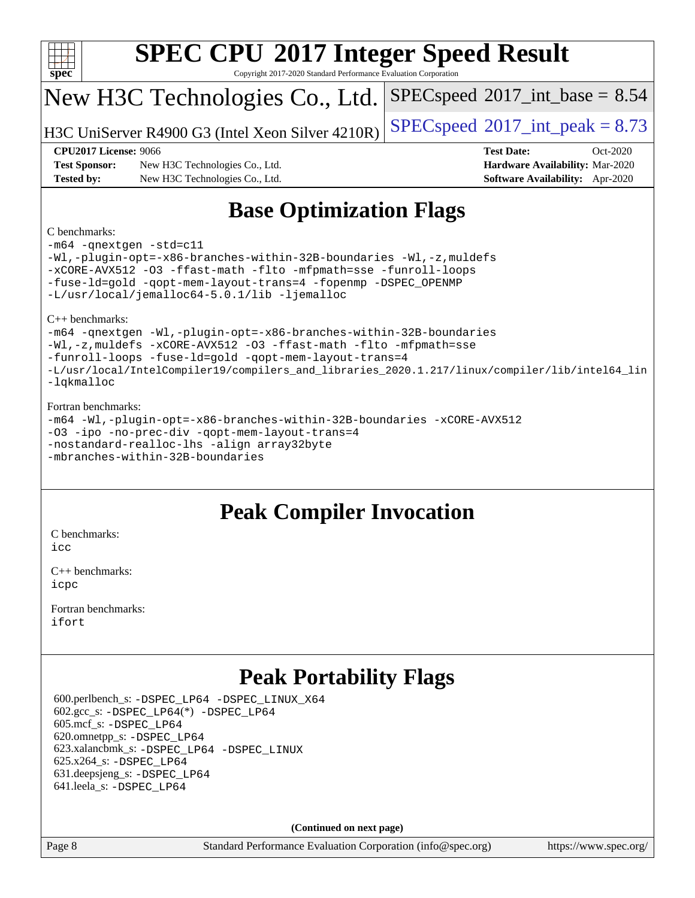| <b>SPEC CPU®2017 Integer Speed Result</b> |                                                                 |                                            |  |  |  |  |  |  |
|-------------------------------------------|-----------------------------------------------------------------|--------------------------------------------|--|--|--|--|--|--|
| spec                                      | Copyright 2017-2020 Standard Performance Evaluation Corporation |                                            |  |  |  |  |  |  |
|                                           | New H3C Technologies Co., Ltd.                                  | $SPEC speed^{\circ}2017\_int\_base = 8.54$ |  |  |  |  |  |  |
|                                           | H3C UniServer R4900 G3 (Intel Xeon Silver 4210R)                | $SPEC speed^{\circ}2017\_int\_peak = 8.73$ |  |  |  |  |  |  |
| <b>CPU2017 License: 9066</b>              |                                                                 | <b>Test Date:</b><br>$Oct-2020$            |  |  |  |  |  |  |
| <b>Test Sponsor:</b>                      | New H3C Technologies Co., Ltd.                                  | Hardware Availability: Mar-2020            |  |  |  |  |  |  |
| <b>Tested by:</b>                         | New H3C Technologies Co., Ltd.                                  | <b>Software Availability:</b> Apr-2020     |  |  |  |  |  |  |
| C benchmarks:                             | <b>Base Optimization Flags</b>                                  |                                            |  |  |  |  |  |  |

[-m64](http://www.spec.org/cpu2017/results/res2020q4/cpu2017-20201027-24320.flags.html#user_CCbase_m64-icc) [-qnextgen](http://www.spec.org/cpu2017/results/res2020q4/cpu2017-20201027-24320.flags.html#user_CCbase_f-qnextgen) [-std=c11](http://www.spec.org/cpu2017/results/res2020q4/cpu2017-20201027-24320.flags.html#user_CCbase_std-icc-std_0e1c27790398a4642dfca32ffe6c27b5796f9c2d2676156f2e42c9c44eaad0c049b1cdb667a270c34d979996257aeb8fc440bfb01818dbc9357bd9d174cb8524) [-Wl,-plugin-opt=-x86-branches-within-32B-boundaries](http://www.spec.org/cpu2017/results/res2020q4/cpu2017-20201027-24320.flags.html#user_CCbase_f-x86-branches-within-32B-boundaries_0098b4e4317ae60947b7b728078a624952a08ac37a3c797dfb4ffeb399e0c61a9dd0f2f44ce917e9361fb9076ccb15e7824594512dd315205382d84209e912f3) [-Wl,-z,muldefs](http://www.spec.org/cpu2017/results/res2020q4/cpu2017-20201027-24320.flags.html#user_CCbase_link_force_multiple1_b4cbdb97b34bdee9ceefcfe54f4c8ea74255f0b02a4b23e853cdb0e18eb4525ac79b5a88067c842dd0ee6996c24547a27a4b99331201badda8798ef8a743f577) [-xCORE-AVX512](http://www.spec.org/cpu2017/results/res2020q4/cpu2017-20201027-24320.flags.html#user_CCbase_f-xCORE-AVX512) [-O3](http://www.spec.org/cpu2017/results/res2020q4/cpu2017-20201027-24320.flags.html#user_CCbase_f-O3) [-ffast-math](http://www.spec.org/cpu2017/results/res2020q4/cpu2017-20201027-24320.flags.html#user_CCbase_f-ffast-math) [-flto](http://www.spec.org/cpu2017/results/res2020q4/cpu2017-20201027-24320.flags.html#user_CCbase_f-flto) [-mfpmath=sse](http://www.spec.org/cpu2017/results/res2020q4/cpu2017-20201027-24320.flags.html#user_CCbase_f-mfpmath_70eb8fac26bde974f8ab713bc9086c5621c0b8d2f6c86f38af0bd7062540daf19db5f3a066d8c6684be05d84c9b6322eb3b5be6619d967835195b93d6c02afa1) [-funroll-loops](http://www.spec.org/cpu2017/results/res2020q4/cpu2017-20201027-24320.flags.html#user_CCbase_f-funroll-loops) [-fuse-ld=gold](http://www.spec.org/cpu2017/results/res2020q4/cpu2017-20201027-24320.flags.html#user_CCbase_f-fuse-ld_920b3586e2b8c6e0748b9c84fa9b744736ba725a32cab14ad8f3d4ad28eecb2f59d1144823d2e17006539a88734fe1fc08fc3035f7676166309105a78aaabc32) [-qopt-mem-layout-trans=4](http://www.spec.org/cpu2017/results/res2020q4/cpu2017-20201027-24320.flags.html#user_CCbase_f-qopt-mem-layout-trans_fa39e755916c150a61361b7846f310bcdf6f04e385ef281cadf3647acec3f0ae266d1a1d22d972a7087a248fd4e6ca390a3634700869573d231a252c784941a8) [-fopenmp](http://www.spec.org/cpu2017/results/res2020q4/cpu2017-20201027-24320.flags.html#user_CCbase_fopenmp_5aa2e47ce4f2ef030ba5d12d5a7a9c4e57167333d78243fcadb80b48d5abb78ff19333f8478e0b2a41e63049eb285965c145ccab7b93db7d0c4d59e4dc6f5591) [-DSPEC\\_OPENMP](http://www.spec.org/cpu2017/results/res2020q4/cpu2017-20201027-24320.flags.html#suite_CCbase_DSPEC_OPENMP) [-L/usr/local/jemalloc64-5.0.1/lib](http://www.spec.org/cpu2017/results/res2020q4/cpu2017-20201027-24320.flags.html#user_CCbase_jemalloc_link_path64_1_cc289568b1a6c0fd3b62c91b824c27fcb5af5e8098e6ad028160d21144ef1b8aef3170d2acf0bee98a8da324cfe4f67d0a3d0c4cc4673d993d694dc2a0df248b) [-ljemalloc](http://www.spec.org/cpu2017/results/res2020q4/cpu2017-20201027-24320.flags.html#user_CCbase_jemalloc_link_lib_d1249b907c500fa1c0672f44f562e3d0f79738ae9e3c4a9c376d49f265a04b9c99b167ecedbf6711b3085be911c67ff61f150a17b3472be731631ba4d0471706)

[C++ benchmarks](http://www.spec.org/auto/cpu2017/Docs/result-fields.html#CXXbenchmarks):

[-m64](http://www.spec.org/cpu2017/results/res2020q4/cpu2017-20201027-24320.flags.html#user_CXXbase_m64-icc) [-qnextgen](http://www.spec.org/cpu2017/results/res2020q4/cpu2017-20201027-24320.flags.html#user_CXXbase_f-qnextgen) [-Wl,-plugin-opt=-x86-branches-within-32B-boundaries](http://www.spec.org/cpu2017/results/res2020q4/cpu2017-20201027-24320.flags.html#user_CXXbase_f-x86-branches-within-32B-boundaries_0098b4e4317ae60947b7b728078a624952a08ac37a3c797dfb4ffeb399e0c61a9dd0f2f44ce917e9361fb9076ccb15e7824594512dd315205382d84209e912f3) [-Wl,-z,muldefs](http://www.spec.org/cpu2017/results/res2020q4/cpu2017-20201027-24320.flags.html#user_CXXbase_link_force_multiple1_b4cbdb97b34bdee9ceefcfe54f4c8ea74255f0b02a4b23e853cdb0e18eb4525ac79b5a88067c842dd0ee6996c24547a27a4b99331201badda8798ef8a743f577) [-xCORE-AVX512](http://www.spec.org/cpu2017/results/res2020q4/cpu2017-20201027-24320.flags.html#user_CXXbase_f-xCORE-AVX512) [-O3](http://www.spec.org/cpu2017/results/res2020q4/cpu2017-20201027-24320.flags.html#user_CXXbase_f-O3) [-ffast-math](http://www.spec.org/cpu2017/results/res2020q4/cpu2017-20201027-24320.flags.html#user_CXXbase_f-ffast-math) [-flto](http://www.spec.org/cpu2017/results/res2020q4/cpu2017-20201027-24320.flags.html#user_CXXbase_f-flto) [-mfpmath=sse](http://www.spec.org/cpu2017/results/res2020q4/cpu2017-20201027-24320.flags.html#user_CXXbase_f-mfpmath_70eb8fac26bde974f8ab713bc9086c5621c0b8d2f6c86f38af0bd7062540daf19db5f3a066d8c6684be05d84c9b6322eb3b5be6619d967835195b93d6c02afa1) [-funroll-loops](http://www.spec.org/cpu2017/results/res2020q4/cpu2017-20201027-24320.flags.html#user_CXXbase_f-funroll-loops) [-fuse-ld=gold](http://www.spec.org/cpu2017/results/res2020q4/cpu2017-20201027-24320.flags.html#user_CXXbase_f-fuse-ld_920b3586e2b8c6e0748b9c84fa9b744736ba725a32cab14ad8f3d4ad28eecb2f59d1144823d2e17006539a88734fe1fc08fc3035f7676166309105a78aaabc32) [-qopt-mem-layout-trans=4](http://www.spec.org/cpu2017/results/res2020q4/cpu2017-20201027-24320.flags.html#user_CXXbase_f-qopt-mem-layout-trans_fa39e755916c150a61361b7846f310bcdf6f04e385ef281cadf3647acec3f0ae266d1a1d22d972a7087a248fd4e6ca390a3634700869573d231a252c784941a8) [-L/usr/local/IntelCompiler19/compilers\\_and\\_libraries\\_2020.1.217/linux/compiler/lib/intel64\\_lin](http://www.spec.org/cpu2017/results/res2020q4/cpu2017-20201027-24320.flags.html#user_CXXbase_linkpath_2cb6f503891ebf8baee7515f4e7d4ec1217444d1d05903cc0091ac4158de400651d2b2313a9fa414cb8a8f0e16ab029634f5c6db340f400369c190d4db8a54a0) [-lqkmalloc](http://www.spec.org/cpu2017/results/res2020q4/cpu2017-20201027-24320.flags.html#user_CXXbase_qkmalloc_link_lib_79a818439969f771c6bc311cfd333c00fc099dad35c030f5aab9dda831713d2015205805422f83de8875488a2991c0a156aaa600e1f9138f8fc37004abc96dc5)

#### [Fortran benchmarks:](http://www.spec.org/auto/cpu2017/Docs/result-fields.html#Fortranbenchmarks)

[-m64](http://www.spec.org/cpu2017/results/res2020q4/cpu2017-20201027-24320.flags.html#user_FCbase_m64-icc) [-Wl,-plugin-opt=-x86-branches-within-32B-boundaries](http://www.spec.org/cpu2017/results/res2020q4/cpu2017-20201027-24320.flags.html#user_FCbase_f-x86-branches-within-32B-boundaries_0098b4e4317ae60947b7b728078a624952a08ac37a3c797dfb4ffeb399e0c61a9dd0f2f44ce917e9361fb9076ccb15e7824594512dd315205382d84209e912f3) [-xCORE-AVX512](http://www.spec.org/cpu2017/results/res2020q4/cpu2017-20201027-24320.flags.html#user_FCbase_f-xCORE-AVX512) [-O3](http://www.spec.org/cpu2017/results/res2020q4/cpu2017-20201027-24320.flags.html#user_FCbase_f-O3) [-ipo](http://www.spec.org/cpu2017/results/res2020q4/cpu2017-20201027-24320.flags.html#user_FCbase_f-ipo) [-no-prec-div](http://www.spec.org/cpu2017/results/res2020q4/cpu2017-20201027-24320.flags.html#user_FCbase_f-no-prec-div) [-qopt-mem-layout-trans=4](http://www.spec.org/cpu2017/results/res2020q4/cpu2017-20201027-24320.flags.html#user_FCbase_f-qopt-mem-layout-trans_fa39e755916c150a61361b7846f310bcdf6f04e385ef281cadf3647acec3f0ae266d1a1d22d972a7087a248fd4e6ca390a3634700869573d231a252c784941a8) [-nostandard-realloc-lhs](http://www.spec.org/cpu2017/results/res2020q4/cpu2017-20201027-24320.flags.html#user_FCbase_f_2003_std_realloc_82b4557e90729c0f113870c07e44d33d6f5a304b4f63d4c15d2d0f1fab99f5daaed73bdb9275d9ae411527f28b936061aa8b9c8f2d63842963b95c9dd6426b8a) [-align array32byte](http://www.spec.org/cpu2017/results/res2020q4/cpu2017-20201027-24320.flags.html#user_FCbase_align_array32byte_b982fe038af199962ba9a80c053b8342c548c85b40b8e86eb3cc33dee0d7986a4af373ac2d51c3f7cf710a18d62fdce2948f201cd044323541f22fc0fffc51b6) [-mbranches-within-32B-boundaries](http://www.spec.org/cpu2017/results/res2020q4/cpu2017-20201027-24320.flags.html#user_FCbase_f-mbranches-within-32B-boundaries)

### **[Peak Compiler Invocation](http://www.spec.org/auto/cpu2017/Docs/result-fields.html#PeakCompilerInvocation)**

[C benchmarks](http://www.spec.org/auto/cpu2017/Docs/result-fields.html#Cbenchmarks):

[icc](http://www.spec.org/cpu2017/results/res2020q4/cpu2017-20201027-24320.flags.html#user_CCpeak_intel_icc_66fc1ee009f7361af1fbd72ca7dcefbb700085f36577c54f309893dd4ec40d12360134090235512931783d35fd58c0460139e722d5067c5574d8eaf2b3e37e92)

[C++ benchmarks:](http://www.spec.org/auto/cpu2017/Docs/result-fields.html#CXXbenchmarks) [icpc](http://www.spec.org/cpu2017/results/res2020q4/cpu2017-20201027-24320.flags.html#user_CXXpeak_intel_icpc_c510b6838c7f56d33e37e94d029a35b4a7bccf4766a728ee175e80a419847e808290a9b78be685c44ab727ea267ec2f070ec5dc83b407c0218cded6866a35d07)

[Fortran benchmarks](http://www.spec.org/auto/cpu2017/Docs/result-fields.html#Fortranbenchmarks): [ifort](http://www.spec.org/cpu2017/results/res2020q4/cpu2017-20201027-24320.flags.html#user_FCpeak_intel_ifort_8111460550e3ca792625aed983ce982f94888b8b503583aa7ba2b8303487b4d8a21a13e7191a45c5fd58ff318f48f9492884d4413fa793fd88dd292cad7027ca)

# **[Peak Portability Flags](http://www.spec.org/auto/cpu2017/Docs/result-fields.html#PeakPortabilityFlags)**

 600.perlbench\_s: [-DSPEC\\_LP64](http://www.spec.org/cpu2017/results/res2020q4/cpu2017-20201027-24320.flags.html#b600.perlbench_s_peakPORTABILITY_DSPEC_LP64) [-DSPEC\\_LINUX\\_X64](http://www.spec.org/cpu2017/results/res2020q4/cpu2017-20201027-24320.flags.html#b600.perlbench_s_peakCPORTABILITY_DSPEC_LINUX_X64)  $602.\text{gcc}\$ :  $-DSPEC\_LP64(*) -DSPEC\_LP64$  605.mcf\_s: [-DSPEC\\_LP64](http://www.spec.org/cpu2017/results/res2020q4/cpu2017-20201027-24320.flags.html#suite_peakPORTABILITY605_mcf_s_DSPEC_LP64) 620.omnetpp\_s: [-DSPEC\\_LP64](http://www.spec.org/cpu2017/results/res2020q4/cpu2017-20201027-24320.flags.html#suite_peakPORTABILITY620_omnetpp_s_DSPEC_LP64) 623.xalancbmk\_s: [-DSPEC\\_LP64](http://www.spec.org/cpu2017/results/res2020q4/cpu2017-20201027-24320.flags.html#suite_peakPORTABILITY623_xalancbmk_s_DSPEC_LP64) [-DSPEC\\_LINUX](http://www.spec.org/cpu2017/results/res2020q4/cpu2017-20201027-24320.flags.html#b623.xalancbmk_s_peakCXXPORTABILITY_DSPEC_LINUX) 625.x264\_s: [-DSPEC\\_LP64](http://www.spec.org/cpu2017/results/res2020q4/cpu2017-20201027-24320.flags.html#suite_peakPORTABILITY625_x264_s_DSPEC_LP64) 631.deepsjeng\_s: [-DSPEC\\_LP64](http://www.spec.org/cpu2017/results/res2020q4/cpu2017-20201027-24320.flags.html#suite_peakPORTABILITY631_deepsjeng_s_DSPEC_LP64) 641.leela\_s: [-DSPEC\\_LP64](http://www.spec.org/cpu2017/results/res2020q4/cpu2017-20201027-24320.flags.html#suite_peakPORTABILITY641_leela_s_DSPEC_LP64)

**(Continued on next page)**

Page 8 Standard Performance Evaluation Corporation [\(info@spec.org\)](mailto:info@spec.org) <https://www.spec.org/>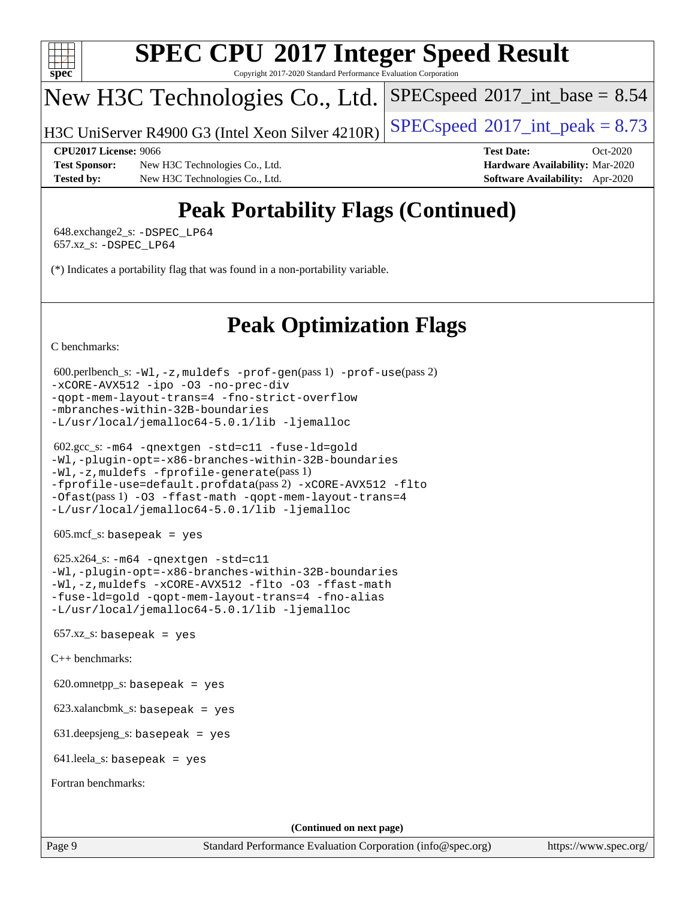

Copyright 2017-2020 Standard Performance Evaluation Corporation

## New H3C Technologies Co., Ltd.

H3C UniServer R4900 G3 (Intel Xeon Silver  $4210R$ ) [SPECspeed](http://www.spec.org/auto/cpu2017/Docs/result-fields.html#SPECspeed2017intpeak)®[2017\\_int\\_peak = 8](http://www.spec.org/auto/cpu2017/Docs/result-fields.html#SPECspeed2017intpeak).73

 $SPECspeed^{\circ}2017\_int\_base = 8.54$  $SPECspeed^{\circ}2017\_int\_base = 8.54$ 

#### **[CPU2017 License:](http://www.spec.org/auto/cpu2017/Docs/result-fields.html#CPU2017License)** 9066 **[Test Date:](http://www.spec.org/auto/cpu2017/Docs/result-fields.html#TestDate)** Oct-2020

**[Test Sponsor:](http://www.spec.org/auto/cpu2017/Docs/result-fields.html#TestSponsor)** New H3C Technologies Co., Ltd. **[Hardware Availability:](http://www.spec.org/auto/cpu2017/Docs/result-fields.html#HardwareAvailability)** Mar-2020 **[Tested by:](http://www.spec.org/auto/cpu2017/Docs/result-fields.html#Testedby)** New H3C Technologies Co., Ltd. **[Software Availability:](http://www.spec.org/auto/cpu2017/Docs/result-fields.html#SoftwareAvailability)** Apr-2020

# **[Peak Portability Flags \(Continued\)](http://www.spec.org/auto/cpu2017/Docs/result-fields.html#PeakPortabilityFlags)**

 648.exchange2\_s: [-DSPEC\\_LP64](http://www.spec.org/cpu2017/results/res2020q4/cpu2017-20201027-24320.flags.html#suite_peakPORTABILITY648_exchange2_s_DSPEC_LP64) 657.xz\_s: [-DSPEC\\_LP64](http://www.spec.org/cpu2017/results/res2020q4/cpu2017-20201027-24320.flags.html#suite_peakPORTABILITY657_xz_s_DSPEC_LP64)

(\*) Indicates a portability flag that was found in a non-portability variable.

# **[Peak Optimization Flags](http://www.spec.org/auto/cpu2017/Docs/result-fields.html#PeakOptimizationFlags)**

[C benchmarks](http://www.spec.org/auto/cpu2017/Docs/result-fields.html#Cbenchmarks):

```
 600.perlbench_s: -Wl,-z,muldefs -prof-gen(pass 1) -prof-use(pass 2)
-xCORE-AVX512 -ipo -O3 -no-prec-div
-qopt-mem-layout-trans=4 -fno-strict-overflow
-mbranches-within-32B-boundaries
-L/usr/local/jemalloc64-5.0.1/lib -ljemalloc
```

```
 602.gcc_s: -m64 -qnextgen -std=c11 -fuse-ld=gold
-Wl,-plugin-opt=-x86-branches-within-32B-boundaries
-Wl,-z,muldefs -fprofile-generate(pass 1)
-fprofile-use=default.profdata(pass 2) -xCORE-AVX512 -flto
-Ofast(pass 1) -O3 -ffast-math -qopt-mem-layout-trans=4
-L/usr/local/jemalloc64-5.0.1/lib -ljemalloc
```
605.mcf\_s: basepeak = yes

 $625.x264_s$ :  $-m64$  [-qnextgen](http://www.spec.org/cpu2017/results/res2020q4/cpu2017-20201027-24320.flags.html#user_peakCCLD625_x264_s_f-qnextgen) [-std=c11](http://www.spec.org/cpu2017/results/res2020q4/cpu2017-20201027-24320.flags.html#user_peakCCLD625_x264_s_std-icc-std_0e1c27790398a4642dfca32ffe6c27b5796f9c2d2676156f2e42c9c44eaad0c049b1cdb667a270c34d979996257aeb8fc440bfb01818dbc9357bd9d174cb8524) [-Wl,-plugin-opt=-x86-branches-within-32B-boundaries](http://www.spec.org/cpu2017/results/res2020q4/cpu2017-20201027-24320.flags.html#user_peakLDFLAGS625_x264_s_f-x86-branches-within-32B-boundaries_0098b4e4317ae60947b7b728078a624952a08ac37a3c797dfb4ffeb399e0c61a9dd0f2f44ce917e9361fb9076ccb15e7824594512dd315205382d84209e912f3) [-Wl,-z,muldefs](http://www.spec.org/cpu2017/results/res2020q4/cpu2017-20201027-24320.flags.html#user_peakEXTRA_LDFLAGS625_x264_s_link_force_multiple1_b4cbdb97b34bdee9ceefcfe54f4c8ea74255f0b02a4b23e853cdb0e18eb4525ac79b5a88067c842dd0ee6996c24547a27a4b99331201badda8798ef8a743f577) [-xCORE-AVX512](http://www.spec.org/cpu2017/results/res2020q4/cpu2017-20201027-24320.flags.html#user_peakCOPTIMIZE625_x264_s_f-xCORE-AVX512) [-flto](http://www.spec.org/cpu2017/results/res2020q4/cpu2017-20201027-24320.flags.html#user_peakCOPTIMIZE625_x264_s_f-flto) [-O3](http://www.spec.org/cpu2017/results/res2020q4/cpu2017-20201027-24320.flags.html#user_peakCOPTIMIZE625_x264_s_f-O3) [-ffast-math](http://www.spec.org/cpu2017/results/res2020q4/cpu2017-20201027-24320.flags.html#user_peakCOPTIMIZE625_x264_s_f-ffast-math) [-fuse-ld=gold](http://www.spec.org/cpu2017/results/res2020q4/cpu2017-20201027-24320.flags.html#user_peakCOPTIMIZE625_x264_s_f-fuse-ld_920b3586e2b8c6e0748b9c84fa9b744736ba725a32cab14ad8f3d4ad28eecb2f59d1144823d2e17006539a88734fe1fc08fc3035f7676166309105a78aaabc32) [-qopt-mem-layout-trans=4](http://www.spec.org/cpu2017/results/res2020q4/cpu2017-20201027-24320.flags.html#user_peakCOPTIMIZE625_x264_s_f-qopt-mem-layout-trans_fa39e755916c150a61361b7846f310bcdf6f04e385ef281cadf3647acec3f0ae266d1a1d22d972a7087a248fd4e6ca390a3634700869573d231a252c784941a8) [-fno-alias](http://www.spec.org/cpu2017/results/res2020q4/cpu2017-20201027-24320.flags.html#user_peakEXTRA_OPTIMIZE625_x264_s_f-no-alias_77dbac10d91cbfe898fbf4a29d1b29b694089caa623bdd1baccc9957d4edbe8d106c0b357e2748a65b44fc9e83d78098bb898077f3fe92f9faf24f7bd4a07ed7) [-L/usr/local/jemalloc64-5.0.1/lib](http://www.spec.org/cpu2017/results/res2020q4/cpu2017-20201027-24320.flags.html#user_peakEXTRA_LIBS625_x264_s_jemalloc_link_path64_1_cc289568b1a6c0fd3b62c91b824c27fcb5af5e8098e6ad028160d21144ef1b8aef3170d2acf0bee98a8da324cfe4f67d0a3d0c4cc4673d993d694dc2a0df248b) [-ljemalloc](http://www.spec.org/cpu2017/results/res2020q4/cpu2017-20201027-24320.flags.html#user_peakEXTRA_LIBS625_x264_s_jemalloc_link_lib_d1249b907c500fa1c0672f44f562e3d0f79738ae9e3c4a9c376d49f265a04b9c99b167ecedbf6711b3085be911c67ff61f150a17b3472be731631ba4d0471706)

 $657.xz$ \_s: basepeak = yes

[C++ benchmarks:](http://www.spec.org/auto/cpu2017/Docs/result-fields.html#CXXbenchmarks)

620.omnetpp\_s: basepeak = yes

623.xalancbmk\_s: basepeak = yes

631.deepsjeng\_s: basepeak = yes

641.leela\_s: basepeak = yes

[Fortran benchmarks](http://www.spec.org/auto/cpu2017/Docs/result-fields.html#Fortranbenchmarks):

**(Continued on next page)**